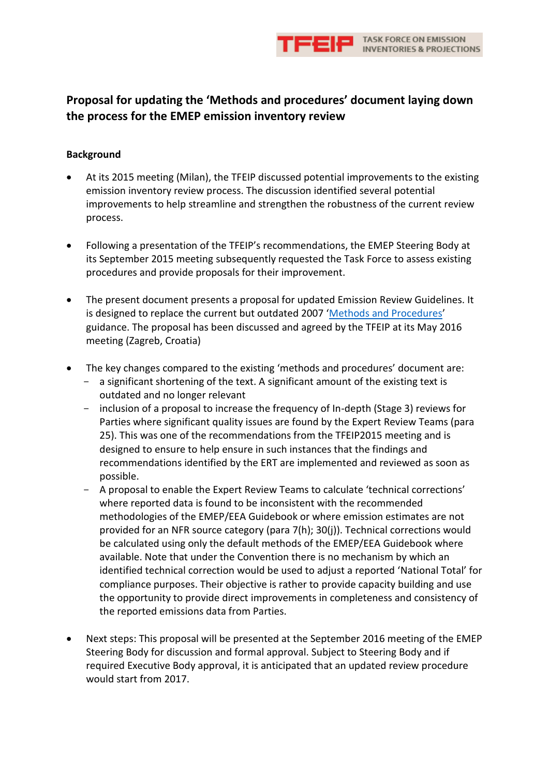

## **Proposal for updating the 'Methods and procedures' document laying down the process for the EMEP emission inventory review**

#### **Background**

- At its 2015 meeting (Milan), the TFEIP discussed potential improvements to the existing emission inventory review process. The discussion identified several potential improvements to help streamline and strengthen the robustness of the current review process.
- Following a presentation of the TFEIP's recommendations, the EMEP Steering Body at its September 2015 meeting subsequently requested the Task Force to assess existing procedures and provide proposals for their improvement.
- The present document presents a proposal for updated Emission Review Guidelines. It is designed to replace the current but outdated 2007 '[Methods and Procedures](http://www.ceip.at/fileadmin/inhalte/emep/review/review_guidelines.pdf)' guidance. The proposal has been discussed and agreed by the TFEIP at its May 2016 meeting (Zagreb, Croatia)
- The key changes compared to the existing 'methods and procedures' document are:
	- a significant shortening of the text. A significant amount of the existing text is outdated and no longer relevant
	- inclusion of a proposal to increase the frequency of In-depth (Stage 3) reviews for Parties where significant quality issues are found by the Expert Review Teams (para 25). This was one of the recommendations from the TFEIP2015 meeting and is designed to ensure to help ensure in such instances that the findings and recommendations identified by the ERT are implemented and reviewed as soon as possible.
	- A proposal to enable the Expert Review Teams to calculate 'technical corrections' where reported data is found to be inconsistent with the recommended methodologies of the EMEP/EEA Guidebook or where emission estimates are not provided for an NFR source category (para 7(h); 30(j)). Technical corrections would be calculated using only the default methods of the EMEP/EEA Guidebook where available. Note that under the Convention there is no mechanism by which an identified technical correction would be used to adjust a reported 'National Total' for compliance purposes. Their objective is rather to provide capacity building and use the opportunity to provide direct improvements in completeness and consistency of the reported emissions data from Parties.
- Next steps: This proposal will be presented at the September 2016 meeting of the EMEP Steering Body for discussion and formal approval. Subject to Steering Body and if required Executive Body approval, it is anticipated that an updated review procedure would start from 2017.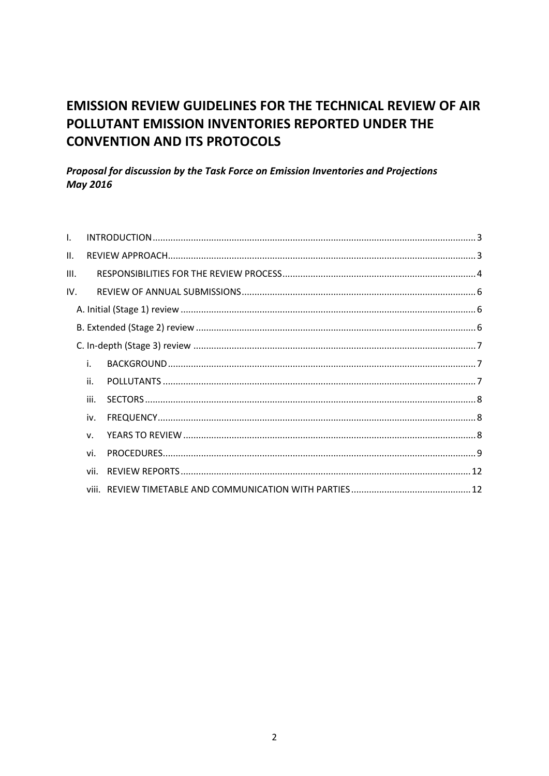# **EMISSION REVIEW GUIDELINES FOR THE TECHNICAL REVIEW OF AIR** POLLUTANT EMISSION INVENTORIES REPORTED UNDER THE **CONVENTION AND ITS PROTOCOLS**

### Proposal for discussion by the Task Force on Emission Inventories and Projections **May 2016**

| L.   |             |  |
|------|-------------|--|
| Н.   |             |  |
| III. |             |  |
| IV.  |             |  |
|      |             |  |
|      |             |  |
|      |             |  |
|      | i.          |  |
|      | ii.         |  |
|      | iii.        |  |
|      | iv.         |  |
|      | $V_{\rm c}$ |  |
|      | vi.         |  |
|      | vii.        |  |
|      |             |  |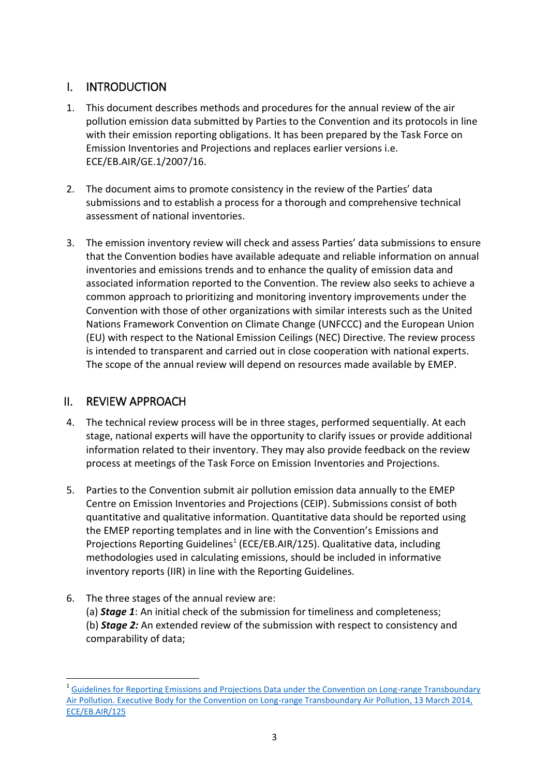## <span id="page-2-0"></span>I. INTRODUCTION

- 1. This document describes methods and procedures for the annual review of the air pollution emission data submitted by Parties to the Convention and its protocols in line with their emission reporting obligations. It has been prepared by the Task Force on Emission Inventories and Projections and replaces earlier versions i.e. ECE/EB.AIR/GE.1/2007/16.
- 2. The document aims to promote consistency in the review of the Parties' data submissions and to establish a process for a thorough and comprehensive technical assessment of national inventories.
- 3. The emission inventory review will check and assess Parties' data submissions to ensure that the Convention bodies have available adequate and reliable information on annual inventories and emissions trends and to enhance the quality of emission data and associated information reported to the Convention. The review also seeks to achieve a common approach to prioritizing and monitoring inventory improvements under the Convention with those of other organizations with similar interests such as the United Nations Framework Convention on Climate Change (UNFCCC) and the European Union (EU) with respect to the National Emission Ceilings (NEC) Directive. The review process is intended to transparent and carried out in close cooperation with national experts. The scope of the annual review will depend on resources made available by EMEP.

## <span id="page-2-1"></span>II. REVIEW APPROACH

 $\overline{a}$ 

- 4. The technical review process will be in three stages, performed sequentially. At each stage, national experts will have the opportunity to clarify issues or provide additional information related to their inventory. They may also provide feedback on the review process at meetings of the Task Force on Emission Inventories and Projections.
- 5. Parties to the Convention submit air pollution emission data annually to the EMEP Centre on Emission Inventories and Projections (CEIP). Submissions consist of both quantitative and qualitative information. Quantitative data should be reported using the EMEP reporting templates and in line with the Convention's Emissions and Projections Reporting Guidelines<sup>1</sup> (ECE/EB.AIR/125). Qualitative data, including methodologies used in calculating emissions, should be included in informative inventory reports (IIR) in line with the Reporting Guidelines.
- 6. The three stages of the annual review are: (a) *Stage 1*: An initial check of the submission for timeliness and completeness; (b) *Stage 2:* An extended review of the submission with respect to consistency and comparability of data;

<sup>&</sup>lt;sup>1</sup> Guidelines for Reporting Emissions and Projections Data under the Convention on Long-range Transboundary [Air Pollution. Executive Body for the Convention on Long-range Transboundary Air Pollution, 13 March 2014,](http://www.ceip.at/fileadmin/inhalte/emep/2014_Guidelines/ece.eb.air.125_ADVANCE_VERSION_reporting_guidelines_2013.pdf)  [ECE/EB.AIR/125](http://www.ceip.at/fileadmin/inhalte/emep/2014_Guidelines/ece.eb.air.125_ADVANCE_VERSION_reporting_guidelines_2013.pdf)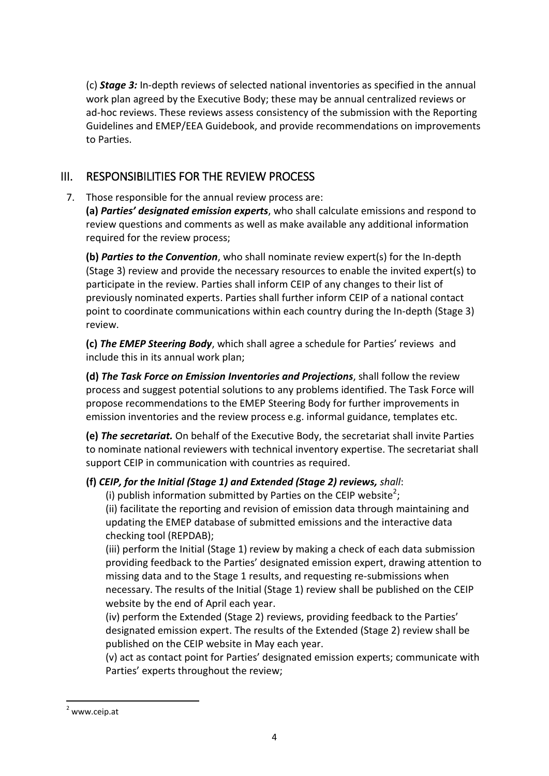(c) *Stage 3:* In-depth reviews of selected national inventories as specified in the annual work plan agreed by the Executive Body; these may be annual centralized reviews or ad-hoc reviews. These reviews assess consistency of the submission with the Reporting Guidelines and EMEP/EEA Guidebook, and provide recommendations on improvements to Parties.

## <span id="page-3-0"></span>III. RESPONSIBILITIES FOR THE REVIEW PROCESS

7. Those responsible for the annual review process are:

**(a)** *Parties' designated emission experts*, who shall calculate emissions and respond to review questions and comments as well as make available any additional information required for the review process;

**(b)** *Parties to the Convention*, who shall nominate review expert(s) for the In-depth (Stage 3) review and provide the necessary resources to enable the invited expert(s) to participate in the review. Parties shall inform CEIP of any changes to their list of previously nominated experts. Parties shall further inform CEIP of a national contact point to coordinate communications within each country during the In-depth (Stage 3) review.

**(c)** *The EMEP Steering Body*, which shall agree a schedule for Parties' reviews and include this in its annual work plan;

**(d)** *The Task Force on Emission Inventories and Projections*, shall follow the review process and suggest potential solutions to any problems identified. The Task Force will propose recommendations to the EMEP Steering Body for further improvements in emission inventories and the review process e.g. informal guidance, templates etc.

**(e)** *The secretariat.* On behalf of the Executive Body, the secretariat shall invite Parties to nominate national reviewers with technical inventory expertise. The secretariat shall support CEIP in communication with countries as required.

### **(f)** *CEIP, for the Initial (Stage 1) and Extended (Stage 2) reviews, shall*:

(i) publish information submitted by Parties on the CEIP website<sup>2</sup>;

(ii) facilitate the reporting and revision of emission data through maintaining and updating the EMEP database of submitted emissions and the interactive data checking tool (REPDAB);

(iii) perform the Initial (Stage 1) review by making a check of each data submission providing feedback to the Parties' designated emission expert, drawing attention to missing data and to the Stage 1 results, and requesting re-submissions when necessary. The results of the Initial (Stage 1) review shall be published on the CEIP website by the end of April each year.

(iv) perform the Extended (Stage 2) reviews, providing feedback to the Parties' designated emission expert. The results of the Extended (Stage 2) review shall be published on the CEIP website in May each year.

(v) act as contact point for Parties' designated emission experts; communicate with Parties' experts throughout the review;

**.** 

 $2$  www.ceip.at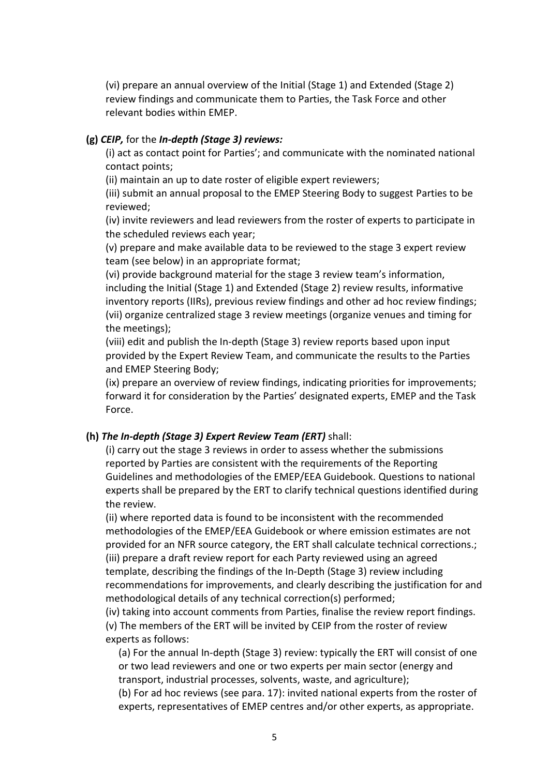(vi) prepare an annual overview of the Initial (Stage 1) and Extended (Stage 2) review findings and communicate them to Parties, the Task Force and other relevant bodies within EMEP.

#### **(g)** *CEIP,* for the *In-depth (Stage 3) reviews:*

(i) act as contact point for Parties'; and communicate with the nominated national contact points;

(ii) maintain an up to date roster of eligible expert reviewers;

(iii) submit an annual proposal to the EMEP Steering Body to suggest Parties to be reviewed;

(iv) invite reviewers and lead reviewers from the roster of experts to participate in the scheduled reviews each year;

(v) prepare and make available data to be reviewed to the stage 3 expert review team (see below) in an appropriate format;

(vi) provide background material for the stage 3 review team's information, including the Initial (Stage 1) and Extended (Stage 2) review results, informative inventory reports (IIRs), previous review findings and other ad hoc review findings; (vii) organize centralized stage 3 review meetings (organize venues and timing for the meetings);

(viii) edit and publish the In-depth (Stage 3) review reports based upon input provided by the Expert Review Team, and communicate the results to the Parties and EMEP Steering Body;

(ix) prepare an overview of review findings, indicating priorities for improvements; forward it for consideration by the Parties' designated experts, EMEP and the Task Force.

#### **(h)** *The In-depth (Stage 3) Expert Review Team (ERT)* shall:

(i) carry out the stage 3 reviews in order to assess whether the submissions reported by Parties are consistent with the requirements of the Reporting Guidelines and methodologies of the EMEP/EEA Guidebook. Questions to national experts shall be prepared by the ERT to clarify technical questions identified during the review.

(ii) where reported data is found to be inconsistent with the recommended methodologies of the EMEP/EEA Guidebook or where emission estimates are not provided for an NFR source category, the ERT shall calculate technical corrections.; (iii) prepare a draft review report for each Party reviewed using an agreed template, describing the findings of the In-Depth (Stage 3) review including recommendations for improvements, and clearly describing the justification for and methodological details of any technical correction(s) performed;

(iv) taking into account comments from Parties, finalise the review report findings. (v) The members of the ERT will be invited by CEIP from the roster of review experts as follows:

(a) For the annual In-depth (Stage 3) review: typically the ERT will consist of one or two lead reviewers and one or two experts per main sector (energy and transport, industrial processes, solvents, waste, and agriculture);

(b) For ad hoc reviews (see para. 17): invited national experts from the roster of experts, representatives of EMEP centres and/or other experts, as appropriate.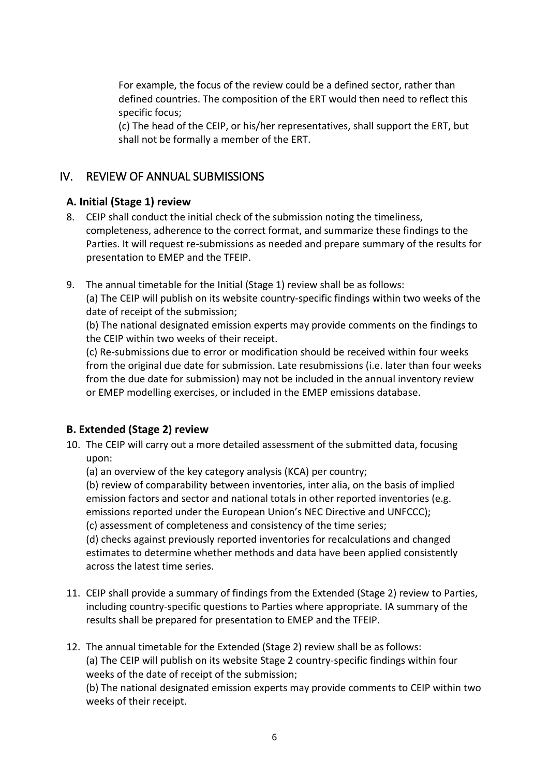For example, the focus of the review could be a defined sector, rather than defined countries. The composition of the ERT would then need to reflect this specific focus;

(c) The head of the CEIP, or his/her representatives, shall support the ERT, but shall not be formally a member of the ERT.

## <span id="page-5-0"></span>IV. REVIEW OF ANNUAL SUBMISSIONS

### <span id="page-5-1"></span>**A. Initial (Stage 1) review**

- 8. CEIP shall conduct the initial check of the submission noting the timeliness, completeness, adherence to the correct format, and summarize these findings to the Parties. It will request re-submissions as needed and prepare summary of the results for presentation to EMEP and the TFEIP.
- 9. The annual timetable for the Initial (Stage 1) review shall be as follows:

(a) The CEIP will publish on its website country-specific findings within two weeks of the date of receipt of the submission;

(b) The national designated emission experts may provide comments on the findings to the CEIP within two weeks of their receipt.

(c) Re-submissions due to error or modification should be received within four weeks from the original due date for submission. Late resubmissions (i.e. later than four weeks from the due date for submission) may not be included in the annual inventory review or EMEP modelling exercises, or included in the EMEP emissions database.

### <span id="page-5-2"></span>**B. Extended (Stage 2) review**

10. The CEIP will carry out a more detailed assessment of the submitted data, focusing upon:

(a) an overview of the key category analysis (KCA) per country;

(b) review of comparability between inventories, inter alia, on the basis of implied emission factors and sector and national totals in other reported inventories (e.g. emissions reported under the European Union's NEC Directive and UNFCCC);

(c) assessment of completeness and consistency of the time series;

(d) checks against previously reported inventories for recalculations and changed estimates to determine whether methods and data have been applied consistently across the latest time series.

- 11. CEIP shall provide a summary of findings from the Extended (Stage 2) review to Parties, including country-specific questions to Parties where appropriate. IA summary of the results shall be prepared for presentation to EMEP and the TFEIP.
- 12. The annual timetable for the Extended (Stage 2) review shall be as follows: (a) The CEIP will publish on its website Stage 2 country-specific findings within four weeks of the date of receipt of the submission; (b) The national designated emission experts may provide comments to CEIP within two weeks of their receipt.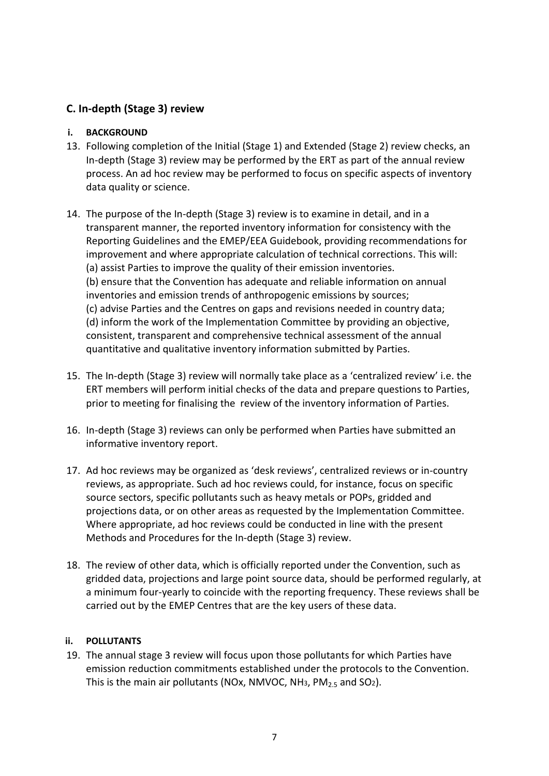### <span id="page-6-0"></span>**C. In-depth (Stage 3) review**

#### <span id="page-6-1"></span>**i. BACKGROUND**

- 13. Following completion of the Initial (Stage 1) and Extended (Stage 2) review checks, an In-depth (Stage 3) review may be performed by the ERT as part of the annual review process. An ad hoc review may be performed to focus on specific aspects of inventory data quality or science.
- 14. The purpose of the In-depth (Stage 3) review is to examine in detail, and in a transparent manner, the reported inventory information for consistency with the Reporting Guidelines and the EMEP/EEA Guidebook, providing recommendations for improvement and where appropriate calculation of technical corrections. This will: (a) assist Parties to improve the quality of their emission inventories. (b) ensure that the Convention has adequate and reliable information on annual inventories and emission trends of anthropogenic emissions by sources; (c) advise Parties and the Centres on gaps and revisions needed in country data; (d) inform the work of the Implementation Committee by providing an objective, consistent, transparent and comprehensive technical assessment of the annual quantitative and qualitative inventory information submitted by Parties.
- 15. The In-depth (Stage 3) review will normally take place as a 'centralized review' i.e. the ERT members will perform initial checks of the data and prepare questions to Parties, prior to meeting for finalising the review of the inventory information of Parties.
- 16. In-depth (Stage 3) reviews can only be performed when Parties have submitted an informative inventory report.
- 17. Ad hoc reviews may be organized as 'desk reviews', centralized reviews or in-country reviews, as appropriate. Such ad hoc reviews could, for instance, focus on specific source sectors, specific pollutants such as heavy metals or POPs, gridded and projections data, or on other areas as requested by the Implementation Committee. Where appropriate, ad hoc reviews could be conducted in line with the present Methods and Procedures for the In-depth (Stage 3) review.
- 18. The review of other data, which is officially reported under the Convention, such as gridded data, projections and large point source data, should be performed regularly, at a minimum four-yearly to coincide with the reporting frequency. These reviews shall be carried out by the EMEP Centres that are the key users of these data.

#### <span id="page-6-2"></span>**ii. POLLUTANTS**

19. The annual stage 3 review will focus upon those pollutants for which Parties have emission reduction commitments established under the protocols to the Convention. This is the main air pollutants (NOx, NMVOC, NH<sub>3</sub>, PM<sub>2.5</sub> and SO<sub>2</sub>).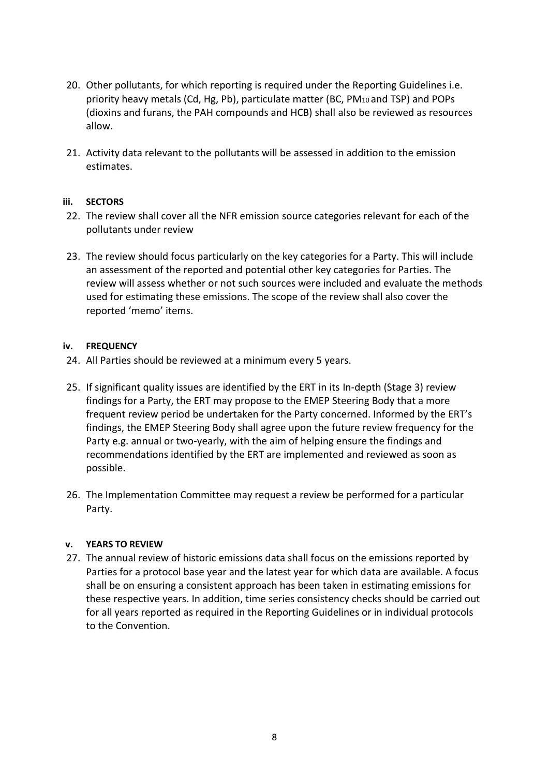- 20. Other pollutants, for which reporting is required under the Reporting Guidelines i.e. priority heavy metals (Cd, Hg, Pb), particulate matter (BC, PM<sup>10</sup> and TSP) and POPs (dioxins and furans, the PAH compounds and HCB) shall also be reviewed as resources allow.
- 21. Activity data relevant to the pollutants will be assessed in addition to the emission estimates.

#### <span id="page-7-0"></span>**iii. SECTORS**

- 22. The review shall cover all the NFR emission source categories relevant for each of the pollutants under review
- 23. The review should focus particularly on the key categories for a Party. This will include an assessment of the reported and potential other key categories for Parties. The review will assess whether or not such sources were included and evaluate the methods used for estimating these emissions. The scope of the review shall also cover the reported 'memo' items.

#### <span id="page-7-1"></span>**iv. FREQUENCY**

- 24. All Parties should be reviewed at a minimum every 5 years.
- 25. If significant quality issues are identified by the ERT in its In-depth (Stage 3) review findings for a Party, the ERT may propose to the EMEP Steering Body that a more frequent review period be undertaken for the Party concerned. Informed by the ERT's findings, the EMEP Steering Body shall agree upon the future review frequency for the Party e.g. annual or two-yearly, with the aim of helping ensure the findings and recommendations identified by the ERT are implemented and reviewed as soon as possible.
- 26. The Implementation Committee may request a review be performed for a particular Party.

#### <span id="page-7-2"></span>**v. YEARS TO REVIEW**

27. The annual review of historic emissions data shall focus on the emissions reported by Parties for a protocol base year and the latest year for which data are available. A focus shall be on ensuring a consistent approach has been taken in estimating emissions for these respective years. In addition, time series consistency checks should be carried out for all years reported as required in the Reporting Guidelines or in individual protocols to the Convention.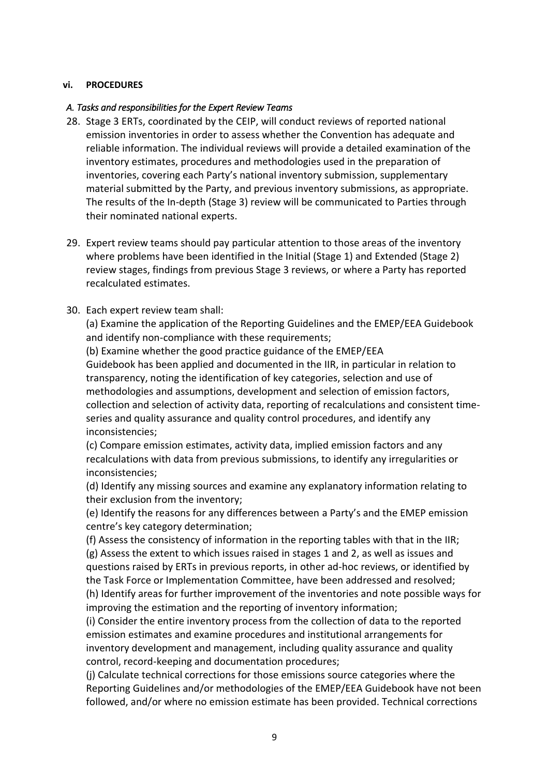#### <span id="page-8-0"></span>**vi. PROCEDURES**

#### *A. Tasks and responsibilities for the Expert Review Teams*

- 28. Stage 3 ERTs, coordinated by the CEIP, will conduct reviews of reported national emission inventories in order to assess whether the Convention has adequate and reliable information. The individual reviews will provide a detailed examination of the inventory estimates, procedures and methodologies used in the preparation of inventories, covering each Party's national inventory submission, supplementary material submitted by the Party, and previous inventory submissions, as appropriate. The results of the In-depth (Stage 3) review will be communicated to Parties through their nominated national experts.
- 29. Expert review teams should pay particular attention to those areas of the inventory where problems have been identified in the Initial (Stage 1) and Extended (Stage 2) review stages, findings from previous Stage 3 reviews, or where a Party has reported recalculated estimates.

#### 30. Each expert review team shall:

(a) Examine the application of the Reporting Guidelines and the EMEP/EEA Guidebook and identify non-compliance with these requirements;

(b) Examine whether the good practice guidance of the EMEP/EEA Guidebook has been applied and documented in the IIR, in particular in relation to transparency, noting the identification of key categories, selection and use of methodologies and assumptions, development and selection of emission factors, collection and selection of activity data, reporting of recalculations and consistent timeseries and quality assurance and quality control procedures, and identify any inconsistencies;

(c) Compare emission estimates, activity data, implied emission factors and any recalculations with data from previous submissions, to identify any irregularities or inconsistencies;

(d) Identify any missing sources and examine any explanatory information relating to their exclusion from the inventory;

(e) Identify the reasons for any differences between a Party's and the EMEP emission centre's key category determination;

(f) Assess the consistency of information in the reporting tables with that in the IIR; (g) Assess the extent to which issues raised in stages 1 and 2, as well as issues and questions raised by ERTs in previous reports, in other ad-hoc reviews, or identified by the Task Force or Implementation Committee, have been addressed and resolved; (h) Identify areas for further improvement of the inventories and note possible ways for improving the estimation and the reporting of inventory information;

(i) Consider the entire inventory process from the collection of data to the reported emission estimates and examine procedures and institutional arrangements for inventory development and management, including quality assurance and quality control, record-keeping and documentation procedures;

(j) Calculate technical corrections for those emissions source categories where the Reporting Guidelines and/or methodologies of the EMEP/EEA Guidebook have not been followed, and/or where no emission estimate has been provided. Technical corrections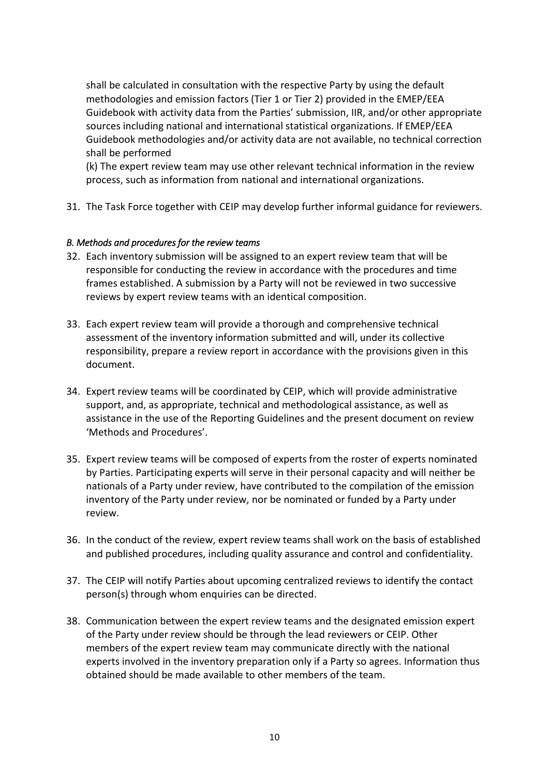shall be calculated in consultation with the respective Party by using the default methodologies and emission factors (Tier 1 or Tier 2) provided in the EMEP/EEA Guidebook with activity data from the Parties' submission, IIR, and/or other appropriate sources including national and international statistical organizations. If EMEP/EEA Guidebook methodologies and/or activity data are not available, no technical correction shall be performed

(k) The expert review team may use other relevant technical information in the review process, such as information from national and international organizations.

31. The Task Force together with CEIP may develop further informal guidance for reviewers.

#### *B. Methods and procedures for the review teams*

- 32. Each inventory submission will be assigned to an expert review team that will be responsible for conducting the review in accordance with the procedures and time frames established. A submission by a Party will not be reviewed in two successive reviews by expert review teams with an identical composition.
- 33. Each expert review team will provide a thorough and comprehensive technical assessment of the inventory information submitted and will, under its collective responsibility, prepare a review report in accordance with the provisions given in this document.
- 34. Expert review teams will be coordinated by CEIP, which will provide administrative support, and, as appropriate, technical and methodological assistance, as well as assistance in the use of the Reporting Guidelines and the present document on review 'Methods and Procedures'.
- 35. Expert review teams will be composed of experts from the roster of experts nominated by Parties. Participating experts will serve in their personal capacity and will neither be nationals of a Party under review, have contributed to the compilation of the emission inventory of the Party under review, nor be nominated or funded by a Party under review.
- 36. In the conduct of the review, expert review teams shall work on the basis of established and published procedures, including quality assurance and control and confidentiality.
- 37. The CEIP will notify Parties about upcoming centralized reviews to identify the contact person(s) through whom enquiries can be directed.
- 38. Communication between the expert review teams and the designated emission expert of the Party under review should be through the lead reviewers or CEIP. Other members of the expert review team may communicate directly with the national experts involved in the inventory preparation only if a Party so agrees. Information thus obtained should be made available to other members of the team.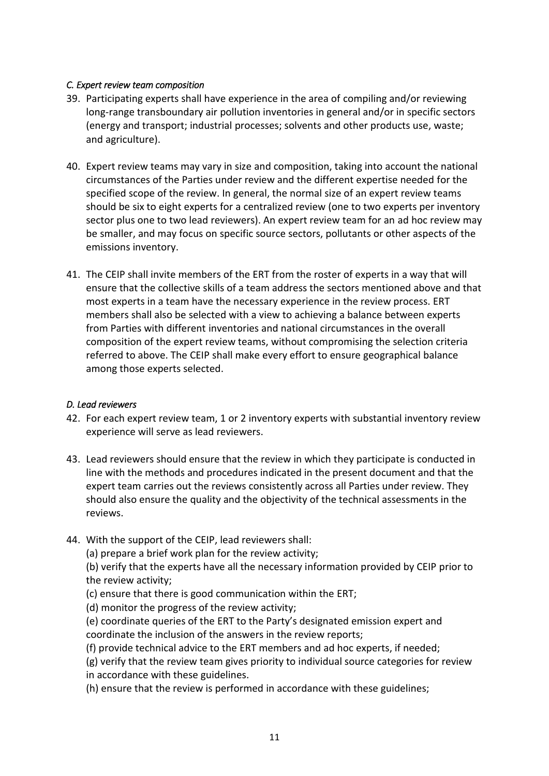#### *C. Expert review team composition*

- 39. Participating experts shall have experience in the area of compiling and/or reviewing long-range transboundary air pollution inventories in general and/or in specific sectors (energy and transport; industrial processes; solvents and other products use, waste; and agriculture).
- 40. Expert review teams may vary in size and composition, taking into account the national circumstances of the Parties under review and the different expertise needed for the specified scope of the review. In general, the normal size of an expert review teams should be six to eight experts for a centralized review (one to two experts per inventory sector plus one to two lead reviewers). An expert review team for an ad hoc review may be smaller, and may focus on specific source sectors, pollutants or other aspects of the emissions inventory.
- 41. The CEIP shall invite members of the ERT from the roster of experts in a way that will ensure that the collective skills of a team address the sectors mentioned above and that most experts in a team have the necessary experience in the review process. ERT members shall also be selected with a view to achieving a balance between experts from Parties with different inventories and national circumstances in the overall composition of the expert review teams, without compromising the selection criteria referred to above. The CEIP shall make every effort to ensure geographical balance among those experts selected.

#### *D. Lead reviewers*

- 42. For each expert review team, 1 or 2 inventory experts with substantial inventory review experience will serve as lead reviewers.
- 43. Lead reviewers should ensure that the review in which they participate is conducted in line with the methods and procedures indicated in the present document and that the expert team carries out the reviews consistently across all Parties under review. They should also ensure the quality and the objectivity of the technical assessments in the reviews.
- 44. With the support of the CEIP, lead reviewers shall:

(a) prepare a brief work plan for the review activity;

(b) verify that the experts have all the necessary information provided by CEIP prior to the review activity;

- (c) ensure that there is good communication within the ERT;
- (d) monitor the progress of the review activity;
- (e) coordinate queries of the ERT to the Party's designated emission expert and coordinate the inclusion of the answers in the review reports;
- (f) provide technical advice to the ERT members and ad hoc experts, if needed;
- (g) verify that the review team gives priority to individual source categories for review in accordance with these guidelines.
- (h) ensure that the review is performed in accordance with these guidelines;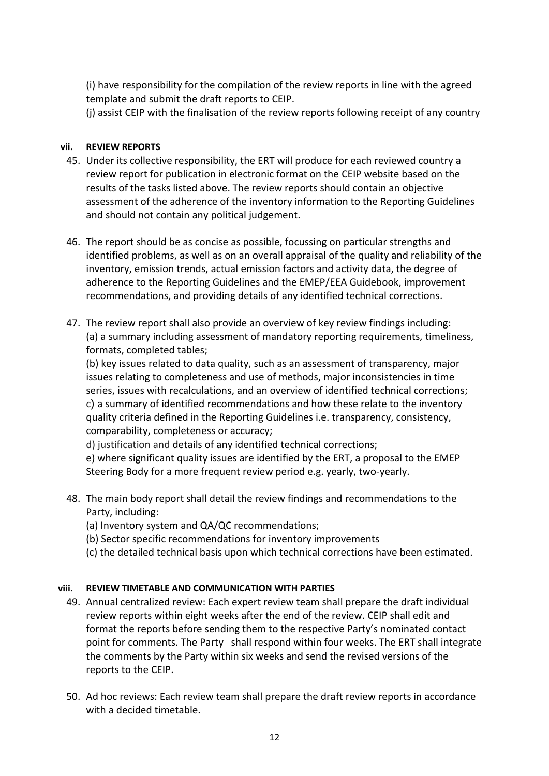(i) have responsibility for the compilation of the review reports in line with the agreed template and submit the draft reports to CEIP.

(j) assist CEIP with the finalisation of the review reports following receipt of any country

#### <span id="page-11-0"></span>**vii. REVIEW REPORTS**

- 45. Under its collective responsibility, the ERT will produce for each reviewed country a review report for publication in electronic format on the CEIP website based on the results of the tasks listed above. The review reports should contain an objective assessment of the adherence of the inventory information to the Reporting Guidelines and should not contain any political judgement.
- 46. The report should be as concise as possible, focussing on particular strengths and identified problems, as well as on an overall appraisal of the quality and reliability of the inventory, emission trends, actual emission factors and activity data, the degree of adherence to the Reporting Guidelines and the EMEP/EEA Guidebook, improvement recommendations, and providing details of any identified technical corrections.
- 47. The review report shall also provide an overview of key review findings including: (a) a summary including assessment of mandatory reporting requirements, timeliness, formats, completed tables;

(b) key issues related to data quality, such as an assessment of transparency, major issues relating to completeness and use of methods, major inconsistencies in time series, issues with recalculations, and an overview of identified technical corrections; c) a summary of identified recommendations and how these relate to the inventory quality criteria defined in the Reporting Guidelines i.e. transparency, consistency, comparability, completeness or accuracy;

d) justification and details of any identified technical corrections;

e) where significant quality issues are identified by the ERT, a proposal to the EMEP Steering Body for a more frequent review period e.g. yearly, two-yearly.

- 48. The main body report shall detail the review findings and recommendations to the Party, including:
	- (a) Inventory system and QA/QC recommendations;
	- (b) Sector specific recommendations for inventory improvements
	- (c) the detailed technical basis upon which technical corrections have been estimated.

#### <span id="page-11-1"></span>**viii. REVIEW TIMETABLE AND COMMUNICATION WITH PARTIES**

- 49. Annual centralized review: Each expert review team shall prepare the draft individual review reports within eight weeks after the end of the review. CEIP shall edit and format the reports before sending them to the respective Party's nominated contact point for comments. The Party shall respond within four weeks. The ERT shall integrate the comments by the Party within six weeks and send the revised versions of the reports to the CEIP.
- 50. Ad hoc reviews: Each review team shall prepare the draft review reports in accordance with a decided timetable.